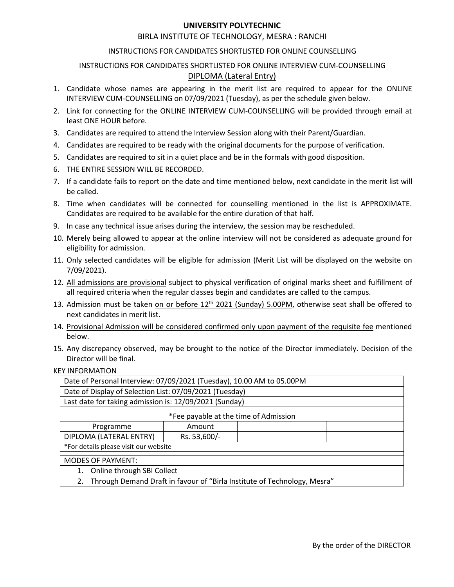# **UNIVERSITY POLYTECHNIC**<br>UTE OF TECHNOLOGY, MESRA : RANCHI<br>NDIDATES SHORTLISTED FOR ONLINE COUNSELLING<br>IS SHORTLISTED FOR ONLINE INTERVIEW CUM-COUNSELLING<br><u>DIPLOMA (Lateral Entry)</u> UNIVERSITY POLYTECHNIC<br>BIRLA INSTITUTE OF TECHNOLOGY, MESRA : RANCHI<br>TIONS FOR CANDIDATES SHORTLISTED FOR ONLINE INTERVIEW CUM-COUNSELLING<br>DIPLOMA (Lateral Entry)<br>Imes are appearing in the merit list are required to appear

- **UNIVERSITY POLYTECHNIC**<br>BIRLA INSTITUTE OF TECHNOLOGY, MESRA : RANCHI<br>INSTRUCTIONS FOR CANDIDATES SHORTLISTED FOR ONLINE INTERVIEW CUM-COUNSELLING<br>TIONS FOR CANDIDATES SHORTLISTED FOR ONLINE INTERVIEW CUM-COUNSELLING<br>whos UNIVERSITY POLYTECHNIC<br>
BIRLA INSTITUTE OF TECHNOLOGY, MESRA : RANCHI<br>
INSTRUCTIONS FOR CANDIDATES SHORTLISTED FOR ONLINE INTERVIEW CUM-COUNSELLING<br>
<u>DIPLOMA (Lateral Entry)</u><br>
didate whose names are appearing in the merit **INIVERSITY POLYTECHNIC**<br>THE OF TECHNOLOGY, MESRA : RANCHI<br>IDIDATES SHORTLISTED FOR ONLINE COUNSELLING<br>SHORTLISTED FOR ONLINE INTERVIEW CUM-COUNSELLING<br>DIPLOMA (Lateral Entry)<br>aring in the merit list are required to appear **INTERVERSITY POLYTECHNIC**<br>
INSTRUCTIONS FOR CANDIDATES SHORTLISTED FOR ONLINE COUNSELLING<br>
INSTRUCTIONS FOR CANDIDATES SHORTLISTED FOR ONLINE INTERVIEW CUM-COUNSELLING<br>
<u>DIPLOMA (Lateral Entry)</u><br>
1. Candidate whose names UNIVERSITY POLYTECHNIC<br>
INSTRUCTIONS FOR CANDIDATES SHORTLISTED FOR ONLINE COUNSELLING<br>
INSTRUCTIONS FOR CANDIDATES SHORTLISTED FOR ONLINE INTERVIEW CUM-COUNSELLING<br>
Candidate whose names are appearing in the merit list ar **EXECT SOMAGE SET CONDEND FOR CONTROLLER SET CONDUCT AT A CONDUCT CONNECT CONNECT CONNECT CONNECT CONNECT CONNECT CONNECT CONNECT CONNECT CONNECT CONNECT CONNECT CONNECT CONNECT CONNECT CONNECT CONNECT CONNECT CONNECT CONN** UNIVERSITY POLYTECHNIC<br>BIRLA INSTITUTE OF TECHNOLOGY, MESRA : RANCHI<br>INSTRUCTIONS FOR CANDIDATES SHORTLISTED FOR ONLINE COUNSELLING<br>INSTRUCTIONS FOR CANDIDATES SHORTLISTED FOR ONLINE INTERVIEW CUM-COUNSE<br>DIPLOMA (Lateral E 3. Candidate sare required to sti in a quiet place and bein the formals with good disposition.<br>3. Candidate whose names are appearing to a NORTLISTED FOR ONLINE INTERVIEW CUM-COUNSELLING<br>3. Candidate whose names are appear UNIVERSITY POLYTECHNIC<br>
INSTRUCTIONS FOR CANDIDATES SHORTLISTED FOR ONLINE COUNSELLING<br>
INSTRUCTIONS FOR CANDIDATES SHORTLISTED FOR ONLINE INTERVIEW CUM-COUNSELLING<br>
1. Candidate whose names are appearing in the merit list **EXECTS ARE SET ARE SET ARE INTERNATE SET ARE RECHANGED IN MISTRUCTIONS FOR CANDIDATES SHORTLISTED FOR ONLINE INTERVIEW CUM-COUNSELLING<br>
1. Candidate whose names are appearing in the merit list are required to appear for t EXERCTS AND MUNIMIZE CONDITE CONDITE CONDIDENTS AND MUNIMIZE (SECULAR AND MUNIMIZED FOR ONLINE COUNSELLING**<br>
INSTRUCTIONS FOR CANDIDATES SHORTLISTED FOR ONLINE INTERVIEW CUM-COUNSELLING<br>
1. Candidate whose names are appea **EXECTS TO PUTTE CHING CONTROVIDUATES SHORE AND THE CONTROVIDE CONTROVIDED INSTRUCTIONS FOR CANDIDATES SHORTLISTED FOR ONLINE COUNSELLING INTERVICTIONS FOR CANDIDATES SHORTLISTED FOR ONLINE COUNSELLING INTERVIEW CUM-COUNSE** UNIVERSITY POLYTECHNIC<br>
BIRLA INSTITUTE OF TECHNOLOGY, MESRA : RANC<br>
INSTRUCTIONS FOR CANDIDATES SHORTLISTED FOR ONLINE CO<br>
INSTRUCTIONS FOR CANDIDATES SHORTLISTED FOR ONLINE INTERVIEW<br>
Candidate whose names are appearing BIRLA INSTITUTE OF TECHNOLOGY, MESRA : RANCHI<br>
INSTRUCTIONS FOR CANDIDATES SHORTLISTED FOR ONLINE COUNSELLING<br>
INSTRUCTIONS FOR CANDIDATES SHORTLISTED FOR ONLINE INTERVIEW CUM-COUNSELLING<br>
INTERVIEW CUM-COUNSELLING ON OT/O BIRLA INSTITUTE OF TECHNOLOGY, MESRA : RANCHI<br>INSTRUCTIONS FOR CANDIDATES SHORTLISTED FOR ONLINE COUNSELLING<br>INSTRUCTIONS FOR CANDIDATES SHORTLISTED FOR ONLINE INTERVIEW CUM-COUNSELLING<br>Candidate whose names are appearing INSTRUCTIONS FOR CANDIDATES SHORTLISTED FOR ONLINE COUNSELLING<br>
1. Candidate whose names are appearing in the menti list are required to appear for the ONLINE<br>
1. Candidate whose names are appearing in the menti list are r INSTRUCTIONS FOR CANDIDATES SHORTISTED FOR ONLINE COUNSELLING<br>
10. Candidate whose names are appearing in the merit list are required to appear for the ONLINE<br>
INTERVIEW CUM-COUNSELLING on 07/09/2021 (Tustagiv), as per the INSTRUCTIONS FOR CANDIDATES SHORTLISTED FOR ONLINE INTERVIEW CUM-COU<br>
DIPLOMA (Lateral Entry)<br>
Candidate whose names are appearing in the merit list are required to appear<br>
INTERVIEW CUM-COUNSELLING on 07/09/2021 (Tuesday) 1. Candidate whose names are appearing in the merit list are required to appear for the ONLINE<br>
INTERVIEW CUM-COUNSELLING on 07/09/2021 (Tuesday), as per the schedule given below.<br>
2. Link for connecting for the ONLINE IN
- 
- 
- 
- 
- 
- Candidates are required to attend the Interview Session along with their Parent/Guardian.<br>Candidates are required to be ready with the original documents for the purpose of verification.<br>Candidates are required to sit in a
- 
- 
- 
- 7/09/2021).
- INTERVIEW CUM-COUNSELLING on 07/09/2021 (Tuesday), as per the schedule given below.<br>
2. Link for connecting for the ONLINE INTERVIEW CUM-COUNSELLING will be provided through email at<br>  $\frac{1}{2}$  candidates are required to Link for connecting for the ONLINE INTERVIEW CUM-COUNSELLING will be provided through email at<br>least ONE HOUR before.<br>Candidates are required to attend the Interview Session along with their Parent/Guardian.<br>Candidates are is east ONE HOUR before.<br>
4. Candidates are required to attend the Interview Session along with their Parent/Guardian.<br>
4. Candidates are required to be ready with the original documents for the purpose of verification.<br>
5 4. Candidates are required to be ready with the original documents for the purpose of verification.<br>
5. Candidates are required to sti in a quich place and be in the formals with good disposition.<br>
6. THE ENTIRE SESION WIL
- 
- below.
- 

|                                                                                                                                                                                                                 | 6. THE ENTIRE SESSION WILL BE RECORDED.                                                                                                                                                                                             |              |                                                                             |                              |  |  |  |  |  |  |
|-----------------------------------------------------------------------------------------------------------------------------------------------------------------------------------------------------------------|-------------------------------------------------------------------------------------------------------------------------------------------------------------------------------------------------------------------------------------|--------------|-----------------------------------------------------------------------------|------------------------------|--|--|--|--|--|--|
|                                                                                                                                                                                                                 | 7. If a candidate fails to report on the date and time mentioned below, next candidate in the merit list will<br>be called.                                                                                                         |              |                                                                             |                              |  |  |  |  |  |  |
| 8. Time when candidates will be connected for counselling mentioned in the list is APPROXIMATE.<br>Candidates are required to be available for the entire duration of that half.                                |                                                                                                                                                                                                                                     |              |                                                                             |                              |  |  |  |  |  |  |
| 9. In case any technical issue arises during the interview, the session may be rescheduled.                                                                                                                     |                                                                                                                                                                                                                                     |              |                                                                             |                              |  |  |  |  |  |  |
| 10. Merely being allowed to appear at the online interview will not be considered as adequate ground for<br>eligibility for admission.                                                                          |                                                                                                                                                                                                                                     |              |                                                                             |                              |  |  |  |  |  |  |
| 11. Only selected candidates will be eligible for admission (Merit List will be displayed on the website on<br>7/09/2021).                                                                                      |                                                                                                                                                                                                                                     |              |                                                                             |                              |  |  |  |  |  |  |
| 12. All admissions are provisional subject to physical verification of original marks sheet and fulfillment of<br>all required criteria when the regular classes begin and candidates are called to the campus. |                                                                                                                                                                                                                                     |              |                                                                             |                              |  |  |  |  |  |  |
| 13. Admission must be taken on or before 12 <sup>th</sup> 2021 (Sunday) 5.00PM, otherwise seat shall be offered to<br>next candidates in merit list.                                                            |                                                                                                                                                                                                                                     |              |                                                                             |                              |  |  |  |  |  |  |
| 14. Provisional Admission will be considered confirmed only upon payment of the requisite fee mentioned<br>below.                                                                                               |                                                                                                                                                                                                                                     |              |                                                                             |                              |  |  |  |  |  |  |
|                                                                                                                                                                                                                 | 15. Any discrepancy observed, may be brought to the notice of the Director immediately. Decision of the<br>Director will be final.                                                                                                  |              |                                                                             |                              |  |  |  |  |  |  |
|                                                                                                                                                                                                                 | <b>KEY INFORMATION</b>                                                                                                                                                                                                              |              |                                                                             |                              |  |  |  |  |  |  |
|                                                                                                                                                                                                                 | Date of Personal Interview: 07/09/2021 (Tuesday), 10.00 AM to 05.00PM<br>Date of Display of Selection List: 07/09/2021 (Tuesday)<br>Last date for taking admission is: 12/09/2021 (Sunday)<br>*Fee payable at the time of Admission |              |                                                                             |                              |  |  |  |  |  |  |
|                                                                                                                                                                                                                 |                                                                                                                                                                                                                                     |              |                                                                             |                              |  |  |  |  |  |  |
|                                                                                                                                                                                                                 |                                                                                                                                                                                                                                     |              |                                                                             |                              |  |  |  |  |  |  |
|                                                                                                                                                                                                                 |                                                                                                                                                                                                                                     |              |                                                                             |                              |  |  |  |  |  |  |
|                                                                                                                                                                                                                 | Programme                                                                                                                                                                                                                           | Amount       |                                                                             |                              |  |  |  |  |  |  |
|                                                                                                                                                                                                                 | DIPLOMA (LATERAL ENTRY)                                                                                                                                                                                                             | Rs. 53,600/- |                                                                             |                              |  |  |  |  |  |  |
|                                                                                                                                                                                                                 | *For details please visit our website                                                                                                                                                                                               |              |                                                                             |                              |  |  |  |  |  |  |
|                                                                                                                                                                                                                 | <b>MODES OF PAYMENT:</b>                                                                                                                                                                                                            |              |                                                                             |                              |  |  |  |  |  |  |
|                                                                                                                                                                                                                 | 1. Online through SBI Collect                                                                                                                                                                                                       |              |                                                                             |                              |  |  |  |  |  |  |
|                                                                                                                                                                                                                 |                                                                                                                                                                                                                                     |              | 2. Through Demand Draft in favour of "Birla Institute of Technology, Mesra" |                              |  |  |  |  |  |  |
|                                                                                                                                                                                                                 |                                                                                                                                                                                                                                     |              |                                                                             |                              |  |  |  |  |  |  |
|                                                                                                                                                                                                                 |                                                                                                                                                                                                                                     |              |                                                                             |                              |  |  |  |  |  |  |
|                                                                                                                                                                                                                 |                                                                                                                                                                                                                                     |              |                                                                             | By the order of the DIRECTOR |  |  |  |  |  |  |
|                                                                                                                                                                                                                 |                                                                                                                                                                                                                                     |              |                                                                             |                              |  |  |  |  |  |  |
|                                                                                                                                                                                                                 |                                                                                                                                                                                                                                     |              |                                                                             |                              |  |  |  |  |  |  |